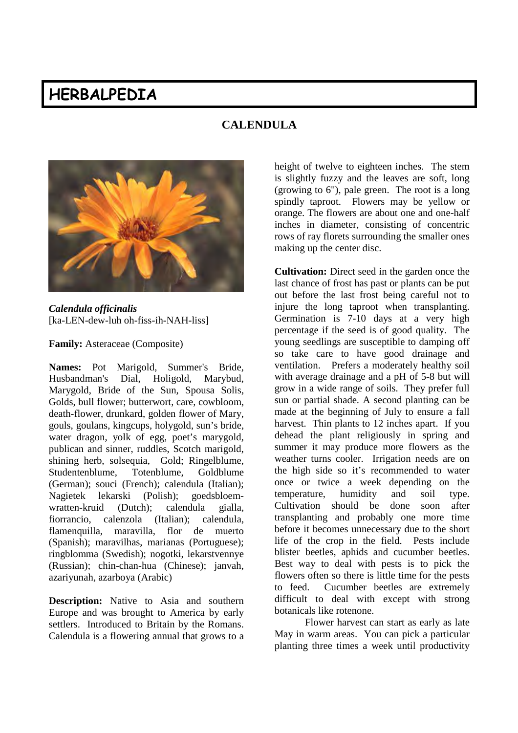# **HERBALPEDIA**

# **CALENDULA**



*Calendula officinalis* [ka-LEN-dew-luh oh-fiss-ih-NAH-liss]

**Family:** Asteraceae (Composite)

**Names:** Pot Marigold, Summer's Bride, Husbandman's Dial, Holigold, Marybud, Marygold, Bride of the Sun, Spousa Solis, Golds, bull flower; butterwort, care, cowbloom, death-flower, drunkard, golden flower of Mary, gouls, goulans, kingcups, holygold, sun's bride, water dragon, yolk of egg, poet's marygold, publican and sinner, ruddles, Scotch marigold, shining herb, solsequia, Gold; Ringelblume, Studentenblume, Totenblume, Goldblume (German); souci (French); calendula (Italian); Nagietek lekarski (Polish); goedsbloemwratten-kruid (Dutch); calendula gialla, fiorrancio, calenzola (Italian); calendula, flamenquilla, maravilla, flor de muerto (Spanish); maravilhas, marianas (Portuguese); ringblomma (Swedish); nogotki, lekarstvennye (Russian); chin-chan-hua (Chinese); janvah, azariyunah, azarboya (Arabic)

**Description:** Native to Asia and southern Europe and was brought to America by early settlers. Introduced to Britain by the Romans. Calendula is a flowering annual that grows to a height of twelve to eighteen inches. The stem is slightly fuzzy and the leaves are soft, long (growing to 6"), pale green. The root is a long spindly taproot. Flowers may be yellow or orange. The flowers are about one and one-half inches in diameter, consisting of concentric rows of ray florets surrounding the smaller ones making up the center disc.

**Cultivation:** Direct seed in the garden once the last chance of frost has past or plants can be put out before the last frost being careful not to injure the long taproot when transplanting. Germination is 7-10 days at a very high percentage if the seed is of good quality. The young seedlings are susceptible to damping off so take care to have good drainage and ventilation. Prefers a moderately healthy soil with average drainage and a pH of 5-8 but will grow in a wide range of soils. They prefer full sun or partial shade. A second planting can be made at the beginning of July to ensure a fall harvest. Thin plants to 12 inches apart. If you dehead the plant religiously in spring and summer it may produce more flowers as the weather turns cooler. Irrigation needs are on the high side so it's recommended to water once or twice a week depending on the temperature, humidity and soil type. Cultivation should be done soon after transplanting and probably one more time before it becomes unnecessary due to the short life of the crop in the field. Pests include blister beetles, aphids and cucumber beetles. Best way to deal with pests is to pick the flowers often so there is little time for the pests to feed. Cucumber beetles are extremely difficult to deal with except with strong botanicals like rotenone.

Flower harvest can start as early as late May in warm areas. You can pick a particular planting three times a week until productivity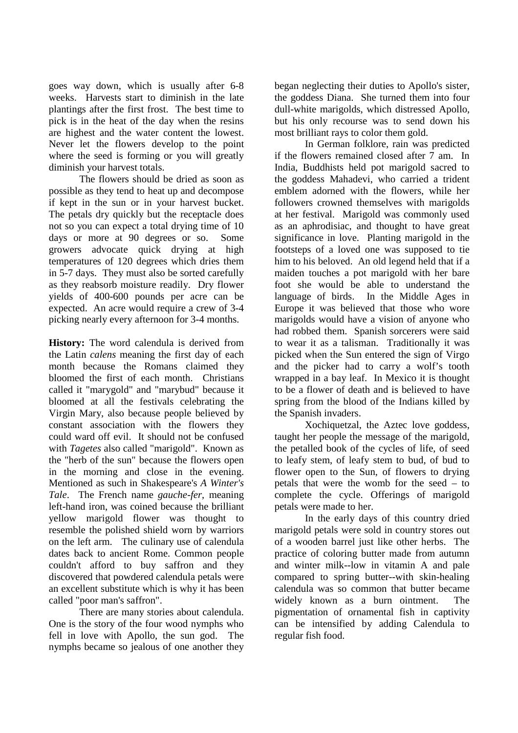goes way down, which is usually after 6-8 weeks. Harvests start to diminish in the late plantings after the first frost. The best time to pick is in the heat of the day when the resins are highest and the water content the lowest. Never let the flowers develop to the point where the seed is forming or you will greatly diminish your harvest totals.

The flowers should be dried as soon as possible as they tend to heat up and decompose if kept in the sun or in your harvest bucket. The petals dry quickly but the receptacle does not so you can expect a total drying time of 10 days or more at 90 degrees or so. Some growers advocate quick drying at high temperatures of 120 degrees which dries them in 5-7 days. They must also be sorted carefully as they reabsorb moisture readily. Dry flower yields of 400-600 pounds per acre can be expected. An acre would require a crew of 3-4 picking nearly every afternoon for 3-4 months.

**History:** The word calendula is derived from the Latin *calens* meaning the first day of each month because the Romans claimed they bloomed the first of each month. Christians called it "marygold" and "marybud" because it bloomed at all the festivals celebrating the Virgin Mary, also because people believed by constant association with the flowers they could ward off evil. It should not be confused with *Tagetes* also called "marigold". Known as the "herb of the sun" because the flowers open in the morning and close in the evening. Mentioned as such in Shakespeare's *A Winter's Tale*. The French name *gauche-fer*, meaning left-hand iron, was coined because the brilliant yellow marigold flower was thought to resemble the polished shield worn by warriors on the left arm. The culinary use of calendula dates back to ancient Rome. Common people couldn't afford to buy saffron and they discovered that powdered calendula petals were an excellent substitute which is why it has been called "poor man's saffron".

There are many stories about calendula. One is the story of the four wood nymphs who fell in love with Apollo, the sun god. The nymphs became so jealous of one another they

began neglecting their duties to Apollo's sister, the goddess Diana. She turned them into four dull-white marigolds, which distressed Apollo, but his only recourse was to send down his most brilliant rays to color them gold.

In German folklore, rain was predicted if the flowers remained closed after 7 am. In India, Buddhists held pot marigold sacred to the goddess Mahadevi, who carried a trident emblem adorned with the flowers, while her followers crowned themselves with marigolds at her festival. Marigold was commonly used as an aphrodisiac, and thought to have great significance in love. Planting marigold in the footsteps of a loved one was supposed to tie him to his beloved. An old legend held that if a maiden touches a pot marigold with her bare foot she would be able to understand the language of birds. In the Middle Ages in Europe it was believed that those who wore marigolds would have a vision of anyone who had robbed them. Spanish sorcerers were said to wear it as a talisman. Traditionally it was picked when the Sun entered the sign of Virgo and the picker had to carry a wolf's tooth wrapped in a bay leaf. In Mexico it is thought to be a flower of death and is believed to have spring from the blood of the Indians killed by the Spanish invaders.

Xochiquetzal, the Aztec love goddess, taught her people the message of the marigold, the petalled book of the cycles of life, of seed to leafy stem, of leafy stem to bud, of bud to flower open to the Sun, of flowers to drying petals that were the womb for the seed – to complete the cycle. Offerings of marigold petals were made to her.

In the early days of this country dried marigold petals were sold in country stores out of a wooden barrel just like other herbs. The practice of coloring butter made from autumn and winter milk--low in vitamin A and pale compared to spring butter--with skin-healing calendula was so common that butter became widely known as a burn ointment. The pigmentation of ornamental fish in captivity can be intensified by adding Calendula to regular fish food.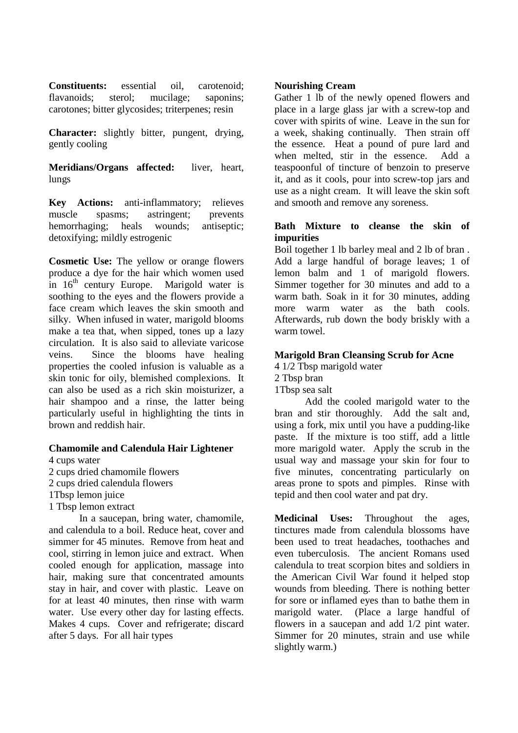**Constituents:** essential oil, carotenoid; flavanoids; sterol; mucilage; saponins; carotones; bitter glycosides; triterpenes; resin

**Character:** slightly bitter, pungent, drying, gently cooling

**Meridians/Organs affected:** liver, heart, lungs

**Key Actions:** anti-inflammatory; relieves muscle spasms; astringent; prevents hemorrhaging; heals wounds; antiseptic; detoxifying; mildly estrogenic

**Cosmetic Use:** The yellow or orange flowers produce a dye for the hair which women used in  $16<sup>th</sup>$  century Europe. Marigold water is soothing to the eyes and the flowers provide a face cream which leaves the skin smooth and silky. When infused in water, marigold blooms make a tea that, when sipped, tones up a lazy circulation. It is also said to alleviate varicose veins. Since the blooms have healing properties the cooled infusion is valuable as a skin tonic for oily, blemished complexions. It can also be used as a rich skin moisturizer, a hair shampoo and a rinse, the latter being particularly useful in highlighting the tints in brown and reddish hair.

#### **Chamomile and Calendula Hair Lightener**

4 cups water 2 cups dried chamomile flowers 2 cups dried calendula flowers 1Tbsp lemon juice 1 Tbsp lemon extract

In a saucepan, bring water, chamomile, and calendula to a boil. Reduce heat, cover and simmer for 45 minutes. Remove from heat and cool, stirring in lemon juice and extract. When cooled enough for application, massage into hair, making sure that concentrated amounts stay in hair, and cover with plastic. Leave on for at least 40 minutes, then rinse with warm water. Use every other day for lasting effects. Makes 4 cups. Cover and refrigerate; discard after 5 days. For all hair types

## **Nourishing Cream**

Gather 1 lb of the newly opened flowers and place in a large glass jar with a screw-top and cover with spirits of wine. Leave in the sun for a week, shaking continually. Then strain off the essence. Heat a pound of pure lard and when melted, stir in the essence. Add a teaspoonful of tincture of benzoin to preserve it, and as it cools, pour into screw-top jars and use as a night cream. It will leave the skin soft and smooth and remove any soreness.

# **Bath Mixture to cleanse the skin of impurities**

Boil together 1 lb barley meal and 2 lb of bran . Add a large handful of borage leaves; 1 of lemon balm and 1 of marigold flowers. Simmer together for 30 minutes and add to a warm bath. Soak in it for 30 minutes, adding more warm water as the bath cools. Afterwards, rub down the body briskly with a warm towel.

# **Marigold Bran Cleansing Scrub for Acne**

4 1/2 Tbsp marigold water

2 Tbsp bran

1Tbsp sea salt

Add the cooled marigold water to the bran and stir thoroughly. Add the salt and, using a fork, mix until you have a pudding-like paste. If the mixture is too stiff, add a little more marigold water. Apply the scrub in the usual way and massage your skin for four to five minutes, concentrating particularly on areas prone to spots and pimples. Rinse with tepid and then cool water and pat dry.

**Medicinal Uses:** Throughout the ages, tinctures made from calendula blossoms have been used to treat headaches, toothaches and even tuberculosis. The ancient Romans used calendula to treat scorpion bites and soldiers in the American Civil War found it helped stop wounds from bleeding. There is nothing better for sore or inflamed eyes than to bathe them in marigold water. (Place a large handful of flowers in a saucepan and add 1/2 pint water. Simmer for 20 minutes, strain and use while slightly warm.)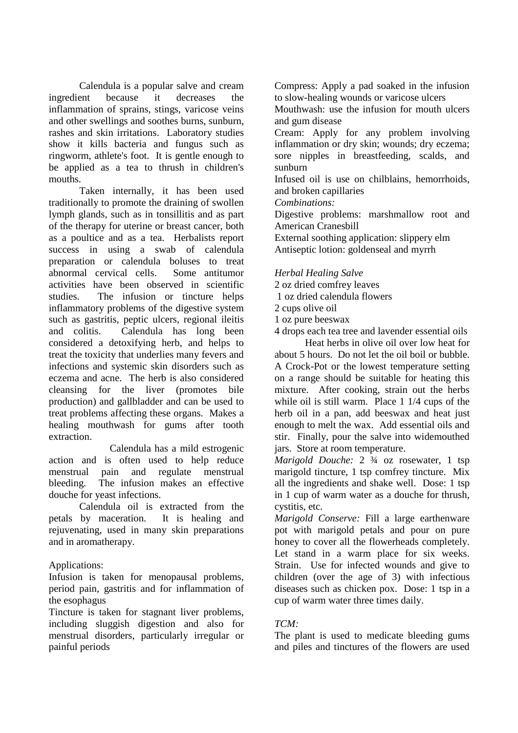Calendula is a popular salve and cream ingredient because it decreases the inflammation of sprains, stings, varicose veins and other swellings and soothes burns, sunburn, rashes and skin irritations. Laboratory studies show it kills bacteria and fungus such as ringworm, athlete's foot. It is gentle enough to be applied as a tea to thrush in children's mouths.

Taken internally, it has been used traditionally to promote the draining of swollen lymph glands, such as in tonsillitis and as part of the therapy for uterine or breast cancer, both as a poultice and as a tea. Herbalists report success in using a swab of calendula preparation or calendula boluses to treat abnormal cervical cells. Some antitumor activities have been observed in scientific studies. The infusion or tincture helps inflammatory problems of the digestive system such as gastritis, peptic ulcers, regional ileitis and colitis. Calendula has long been considered a detoxifying herb, and helps to treat the toxicity that underlies many fevers and infections and systemic skin disorders such as eczema and acne. The herb is also considered cleansing for the liver (promotes bile production) and gallbladder and can be used to treat problems affecting these organs. Makes a healing mouthwash for gums after tooth extraction.

Calendula has a mild estrogenic action and is often used to help reduce menstrual pain and regulate menstrual bleeding. The infusion makes an effective douche for yeast infections.

Calendula oil is extracted from the petals by maceration. It is healing and rejuvenating, used in many skin preparations and in aromatherapy.

# Applications:

Infusion is taken for menopausal problems, period pain, gastritis and for inflammation of the esophagus

Tincture is taken for stagnant liver problems, including sluggish digestion and also for menstrual disorders, particularly irregular or painful periods

Compress: Apply a pad soaked in the infusion to slow-healing wounds or varicose ulcers

Mouthwash: use the infusion for mouth ulcers and gum disease

Cream: Apply for any problem involving inflammation or dry skin; wounds; dry eczema; sore nipples in breastfeeding, scalds, and sunburn

Infused oil is use on chilblains, hemorrhoids, and broken capillaries

*Combinations:*

Digestive problems: marshmallow root and American Cranesbill

External soothing application: slippery elm Antiseptic lotion: goldenseal and myrrh

# *Herbal Healing Salve*

2 oz dried comfrey leaves

1 oz dried calendula flowers

2 cups olive oil

1 oz pure beeswax

4 drops each tea tree and lavender essential oils

Heat herbs in olive oil over low heat for about 5 hours. Do not let the oil boil or bubble. A Crock-Pot or the lowest temperature setting on a range should be suitable for heating this mixture. After cooking, strain out the herbs while oil is still warm. Place 1 1/4 cups of the herb oil in a pan, add beeswax and heat just enough to melt the wax. Add essential oils and stir. Finally, pour the salve into widemouthed jars. Store at room temperature.

*Marigold Douche:* 2 ¾ oz rosewater, 1 tsp marigold tincture, 1 tsp comfrey tincture. Mix all the ingredients and shake well. Dose: 1 tsp in 1 cup of warm water as a douche for thrush, cystitis, etc.

*Marigold Conserve:* Fill a large earthenware pot with marigold petals and pour on pure honey to cover all the flowerheads completely. Let stand in a warm place for six weeks. Strain. Use for infected wounds and give to children (over the age of 3) with infectious diseases such as chicken pox. Dose: 1 tsp in a cup of warm water three times daily.

# *TCM:*

The plant is used to medicate bleeding gums and piles and tinctures of the flowers are used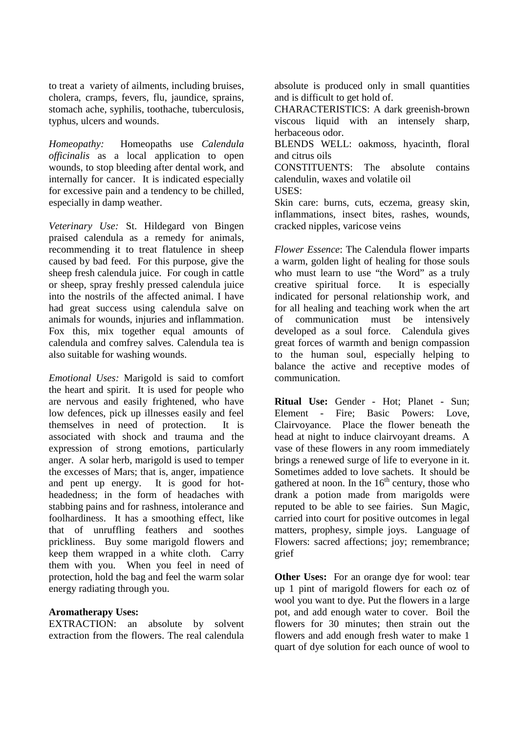to treat a variety of ailments, including bruises, cholera, cramps, fevers, flu, jaundice, sprains, stomach ache, syphilis, toothache, tuberculosis, typhus, ulcers and wounds.

*Homeopathy:* Homeopaths use *Calendula officinalis* as a local application to open wounds, to stop bleeding after dental work, and internally for cancer. It is indicated especially for excessive pain and a tendency to be chilled, especially in damp weather.

*Veterinary Use:* St. Hildegard von Bingen praised calendula as a remedy for animals, recommending it to treat flatulence in sheep caused by bad feed. For this purpose, give the sheep fresh calendula juice. For cough in cattle or sheep, spray freshly pressed calendula juice into the nostrils of the affected animal. I have had great success using calendula salve on animals for wounds, injuries and inflammation. Fox this, mix together equal amounts of calendula and comfrey salves. Calendula tea is also suitable for washing wounds.

*Emotional Uses:* Marigold is said to comfort the heart and spirit. It is used for people who are nervous and easily frightened, who have low defences, pick up illnesses easily and feel themselves in need of protection. It is associated with shock and trauma and the expression of strong emotions, particularly anger. A solar herb, marigold is used to temper the excesses of Mars; that is, anger, impatience and pent up energy. It is good for hotheadedness; in the form of headaches with stabbing pains and for rashness, intolerance and foolhardiness. It has a smoothing effect, like that of unruffling feathers and soothes prickliness. Buy some marigold flowers and keep them wrapped in a white cloth. Carry them with you. When you feel in need of protection, hold the bag and feel the warm solar energy radiating through you.

#### **Aromatherapy Uses:**

EXTRACTION: an absolute by solvent extraction from the flowers. The real calendula absolute is produced only in small quantities and is difficult to get hold of.

CHARACTERISTICS: A dark greenish-brown viscous liquid with an intensely sharp, herbaceous odor.

BLENDS WELL: oakmoss, hyacinth, floral and citrus oils

CONSTITUENTS: The absolute contains calendulin, waxes and volatile oil

USES:

Skin care: burns, cuts, eczema, greasy skin, inflammations, insect bites, rashes, wounds, cracked nipples, varicose veins

*Flower Essence*: The Calendula flower imparts a warm, golden light of healing for those souls who must learn to use "the Word" as a truly creative spiritual force. It is especially indicated for personal relationship work, and for all healing and teaching work when the art of communication must be intensively developed as a soul force. Calendula gives great forces of warmth and benign compassion to the human soul, especially helping to balance the active and receptive modes of communication.

**Ritual Use:** Gender - Hot; Planet - Sun; Element - Fire; Basic Powers: Love, Clairvoyance. Place the flower beneath the head at night to induce clairvoyant dreams. A vase of these flowers in any room immediately brings a renewed surge of life to everyone in it. Sometimes added to love sachets. It should be gathered at noon. In the  $16<sup>th</sup>$  century, those who drank a potion made from marigolds were reputed to be able to see fairies. Sun Magic, carried into court for positive outcomes in legal matters, prophesy, simple joys. Language of Flowers: sacred affections; joy; remembrance; grief

**Other Uses:** For an orange dye for wool: tear up 1 pint of marigold flowers for each oz of wool you want to dye. Put the flowers in a large pot, and add enough water to cover. Boil the flowers for 30 minutes; then strain out the flowers and add enough fresh water to make 1 quart of dye solution for each ounce of wool to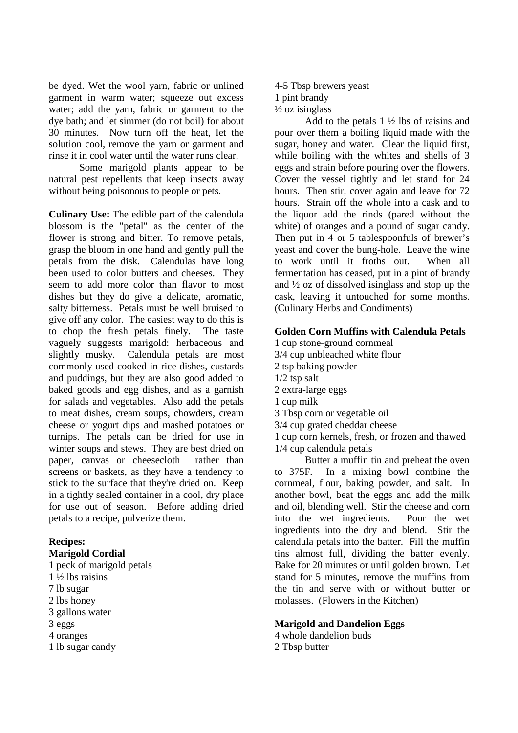be dyed. Wet the wool yarn, fabric or unlined garment in warm water; squeeze out excess water; add the yarn, fabric or garment to the dye bath; and let simmer (do not boil) for about 30 minutes. Now turn off the heat, let the solution cool, remove the yarn or garment and rinse it in cool water until the water runs clear.

Some marigold plants appear to be natural pest repellents that keep insects away without being poisonous to people or pets.

**Culinary Use:** The edible part of the calendula blossom is the "petal" as the center of the flower is strong and bitter. To remove petals, grasp the bloom in one hand and gently pull the petals from the disk. Calendulas have long been used to color butters and cheeses. They seem to add more color than flavor to most dishes but they do give a delicate, aromatic, salty bitterness. Petals must be well bruised to give off any color. The easiest way to do this is to chop the fresh petals finely. The taste vaguely suggests marigold: herbaceous and slightly musky. Calendula petals are most commonly used cooked in rice dishes, custards and puddings, but they are also good added to baked goods and egg dishes, and as a garnish for salads and vegetables. Also add the petals to meat dishes, cream soups, chowders, cream cheese or yogurt dips and mashed potatoes or turnips. The petals can be dried for use in winter soups and stews. They are best dried on paper, canvas or cheesecloth rather than screens or baskets, as they have a tendency to stick to the surface that they're dried on. Keep in a tightly sealed container in a cool, dry place for use out of season. Before adding dried petals to a recipe, pulverize them.

# **Recipes:**

## **Marigold Cordial**

- 1 peck of marigold petals 1 ½ lbs raisins 7 lb sugar
- 2 lbs honey
- 3 gallons water
- 3 eggs
- 4 oranges
- 1 lb sugar candy

4-5 Tbsp brewers yeast 1 pint brandy  $\frac{1}{2}$  oz isinglass

Add to the petals  $1\frac{1}{2}$  lbs of raisins and pour over them a boiling liquid made with the sugar, honey and water. Clear the liquid first, while boiling with the whites and shells of 3 eggs and strain before pouring over the flowers. Cover the vessel tightly and let stand for 24 hours. Then stir, cover again and leave for 72 hours. Strain off the whole into a cask and to the liquor add the rinds (pared without the white) of oranges and a pound of sugar candy. Then put in 4 or 5 tablespoonfuls of brewer's yeast and cover the bung-hole. Leave the wine to work until it froths out. When all fermentation has ceased, put in a pint of brandy and ½ oz of dissolved isinglass and stop up the cask, leaving it untouched for some months. (Culinary Herbs and Condiments)

## **Golden Corn Muffins with Calendula Petals**

- 1 cup stone-ground cornmeal
- 3/4 cup unbleached white flour
- 2 tsp baking powder
- 1/2 tsp salt
- 2 extra-large eggs
- 1 cup milk
- 3 Tbsp corn or vegetable oil
- 3/4 cup grated cheddar cheese
- 1 cup corn kernels, fresh, or frozen and thawed 1/4 cup calendula petals

Butter a muffin tin and preheat the oven to 375F. In a mixing bowl combine the cornmeal, flour, baking powder, and salt. In another bowl, beat the eggs and add the milk and oil, blending well. Stir the cheese and corn into the wet ingredients. Pour the wet ingredients into the dry and blend. Stir the calendula petals into the batter. Fill the muffin tins almost full, dividing the batter evenly. Bake for 20 minutes or until golden brown. Let stand for 5 minutes, remove the muffins from the tin and serve with or without butter or molasses. (Flowers in the Kitchen)

#### **Marigold and Dandelion Eggs**

4 whole dandelion buds 2 Tbsp butter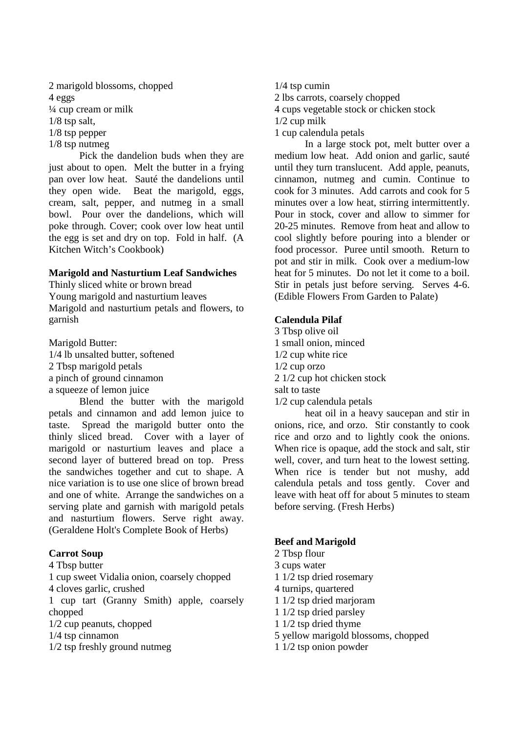2 marigold blossoms, chopped 4 eggs ¼ cup cream or milk 1/8 tsp salt, 1/8 tsp pepper 1/8 tsp nutmeg

Pick the dandelion buds when they are just about to open. Melt the butter in a frying pan over low heat. Sauté the dandelions until they open wide. Beat the marigold, eggs, cream, salt, pepper, and nutmeg in a small bowl. Pour over the dandelions, which will poke through. Cover; cook over low heat until the egg is set and dry on top. Fold in half. (A Kitchen Witch's Cookbook)

#### **Marigold and Nasturtium Leaf Sandwiches**

Thinly sliced white or brown bread Young marigold and nasturtium leaves Marigold and nasturtium petals and flowers, to garnish

Marigold Butter: 1/4 lb unsalted butter, softened 2 Tbsp marigold petals a pinch of ground cinnamon a squeeze of lemon juice

Blend the butter with the marigold petals and cinnamon and add lemon juice to taste. Spread the marigold butter onto the thinly sliced bread. Cover with a layer of marigold or nasturtium leaves and place a second layer of buttered bread on top. Press the sandwiches together and cut to shape. A nice variation is to use one slice of brown bread and one of white. Arrange the sandwiches on a serving plate and garnish with marigold petals and nasturtium flowers. Serve right away. (Geraldene Holt's Complete Book of Herbs)

# **Carrot Soup**

4 Tbsp butter

1 cup sweet Vidalia onion, coarsely chopped 4 cloves garlic, crushed

1 cup tart (Granny Smith) apple, coarsely chopped

- 1/2 cup peanuts, chopped
- 1/4 tsp cinnamon
- 1/2 tsp freshly ground nutmeg

1/4 tsp cumin 2 lbs carrots, coarsely chopped 4 cups vegetable stock or chicken stock 1/2 cup milk 1 cup calendula petals

In a large stock pot, melt butter over a medium low heat. Add onion and garlic, sauté until they turn translucent. Add apple, peanuts, cinnamon, nutmeg and cumin. Continue to cook for 3 minutes. Add carrots and cook for 5 minutes over a low heat, stirring intermittently. Pour in stock, cover and allow to simmer for 20-25 minutes. Remove from heat and allow to cool slightly before pouring into a blender or food processor. Puree until smooth. Return to pot and stir in milk. Cook over a medium-low heat for 5 minutes. Do not let it come to a boil. Stir in petals just before serving. Serves 4-6. (Edible Flowers From Garden to Palate)

# **Calendula Pilaf**

3 Tbsp olive oil 1 small onion, minced 1/2 cup white rice 1/2 cup orzo 2 1/2 cup hot chicken stock salt to taste 1/2 cup calendula petals

heat oil in a heavy saucepan and stir in onions, rice, and orzo. Stir constantly to cook rice and orzo and to lightly cook the onions. When rice is opaque, add the stock and salt, stir well, cover, and turn heat to the lowest setting. When rice is tender but not mushy, add calendula petals and toss gently. Cover and leave with heat off for about 5 minutes to steam before serving. (Fresh Herbs)

# **Beef and Marigold**

- 2 Tbsp flour
- 3 cups water
- 1 1/2 tsp dried rosemary
- 4 turnips, quartered
- 1 1/2 tsp dried marjoram
- 1 1/2 tsp dried parsley
- 1 1/2 tsp dried thyme
- 5 yellow marigold blossoms, chopped
- 1 1/2 tsp onion powder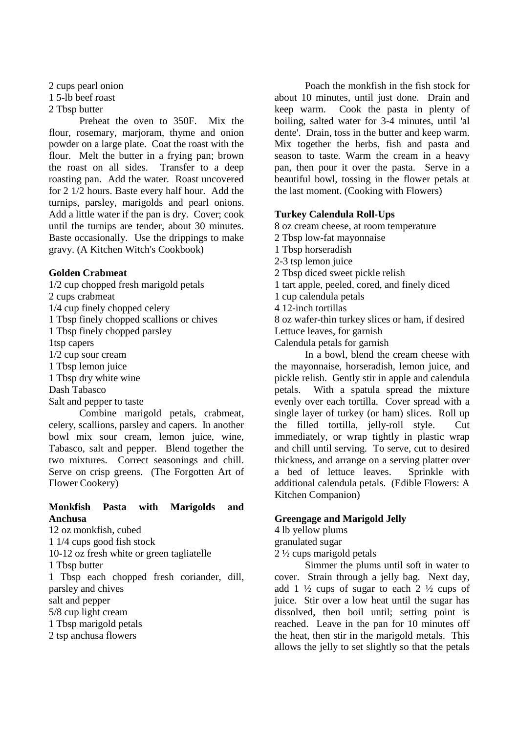2 cups pearl onion

1 5-lb beef roast

2 Tbsp butter

Preheat the oven to 350F. Mix the flour, rosemary, marjoram, thyme and onion powder on a large plate. Coat the roast with the flour. Melt the butter in a frying pan; brown the roast on all sides. Transfer to a deep roasting pan. Add the water. Roast uncovered for 2 1/2 hours. Baste every half hour. Add the turnips, parsley, marigolds and pearl onions. Add a little water if the pan is dry. Cover; cook until the turnips are tender, about 30 minutes. Baste occasionally. Use the drippings to make gravy. (A Kitchen Witch's Cookbook)

# **Golden Crabmeat**

1/2 cup chopped fresh marigold petals 2 cups crabmeat 1/4 cup finely chopped celery 1 Tbsp finely chopped scallions or chives 1 Tbsp finely chopped parsley 1tsp capers 1/2 cup sour cream 1 Tbsp lemon juice 1 Tbsp dry white wine Dash Tabasco Salt and pepper to taste Combine marigold petals, crabmeat,

celery, scallions, parsley and capers. In another bowl mix sour cream, lemon juice, wine, Tabasco, salt and pepper. Blend together the two mixtures. Correct seasonings and chill. Serve on crisp greens. (The Forgotten Art of Flower Cookery)

# **Monkfish Pasta with Marigolds and Anchusa**

12 oz monkfish, cubed 1 1/4 cups good fish stock 10-12 oz fresh white or green tagliatelle 1 Tbsp butter 1 Tbsp each chopped fresh coriander, dill, parsley and chives salt and pepper 5/8 cup light cream 1 Tbsp marigold petals

2 tsp anchusa flowers

Poach the monkfish in the fish stock for about 10 minutes, until just done. Drain and keep warm. Cook the pasta in plenty of boiling, salted water for 3-4 minutes, until 'al dente'. Drain, toss in the butter and keep warm. Mix together the herbs, fish and pasta and season to taste. Warm the cream in a heavy pan, then pour it over the pasta. Serve in a beautiful bowl, tossing in the flower petals at the last moment. (Cooking with Flowers)

# **Turkey Calendula Roll-Ups**

8 oz cream cheese, at room temperature

- 2 Tbsp low-fat mayonnaise
- 1 Tbsp horseradish
- 2-3 tsp lemon juice
- 2 Tbsp diced sweet pickle relish

1 tart apple, peeled, cored, and finely diced

1 cup calendula petals

4 12-inch tortillas

8 oz wafer-thin turkey slices or ham, if desired

Lettuce leaves, for garnish Calendula petals for garnish

In a bowl, blend the cream cheese with the mayonnaise, horseradish, lemon juice, and pickle relish. Gently stir in apple and calendula petals. With a spatula spread the mixture evenly over each tortilla. Cover spread with a single layer of turkey (or ham) slices. Roll up the filled tortilla, jelly-roll style. Cut immediately, or wrap tightly in plastic wrap and chill until serving. To serve, cut to desired thickness, and arrange on a serving platter over a bed of lettuce leaves. Sprinkle with additional calendula petals. (Edible Flowers: A Kitchen Companion)

# **Greengage and Marigold Jelly**

4 lb yellow plums

granulated sugar

2 ½ cups marigold petals

Simmer the plums until soft in water to cover. Strain through a jelly bag. Next day, add 1  $\frac{1}{2}$  cups of sugar to each 2  $\frac{1}{2}$  cups of juice. Stir over a low heat until the sugar has dissolved, then boil until; setting point is reached. Leave in the pan for 10 minutes off the heat, then stir in the marigold metals. This allows the jelly to set slightly so that the petals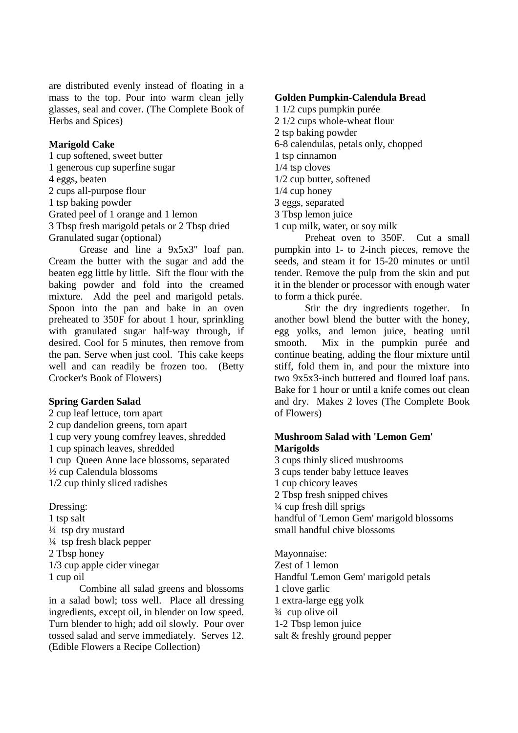are distributed evenly instead of floating in a mass to the top. Pour into warm clean jelly glasses, seal and cover. (The Complete Book of Herbs and Spices)

#### **Marigold Cake**

1 cup softened, sweet butter 1 generous cup superfine sugar 4 eggs, beaten 2 cups all-purpose flour 1 tsp baking powder Grated peel of 1 orange and 1 lemon 3 Tbsp fresh marigold petals or 2 Tbsp dried Granulated sugar (optional)

Grease and line a 9x5x3" loaf pan. Cream the butter with the sugar and add the beaten egg little by little. Sift the flour with the baking powder and fold into the creamed mixture. Add the peel and marigold petals. Spoon into the pan and bake in an oven preheated to 350F for about 1 hour, sprinkling with granulated sugar half-way through, if desired. Cool for 5 minutes, then remove from the pan. Serve when just cool. This cake keeps well and can readily be frozen too. (Betty Crocker's Book of Flowers)

#### **Spring Garden Salad**

2 cup leaf lettuce, torn apart 2 cup dandelion greens, torn apart 1 cup very young comfrey leaves, shredded 1 cup spinach leaves, shredded 1 cup Queen Anne lace blossoms, separated ½ cup Calendula blossoms 1/2 cup thinly sliced radishes

#### Dressing:

1 tsp salt  $\frac{1}{4}$  tsp dry mustard ¼ tsp fresh black pepper 2 Tbsp honey 1/3 cup apple cider vinegar 1 cup oil

Combine all salad greens and blossoms in a salad bowl; toss well. Place all dressing ingredients, except oil, in blender on low speed. Turn blender to high; add oil slowly. Pour over tossed salad and serve immediately. Serves 12. (Edible Flowers a Recipe Collection)

#### **Golden Pumpkin-Calendula Bread**

- 1 1/2 cups pumpkin purée
- 2 1/2 cups whole-wheat flour
- 2 tsp baking powder
- 6-8 calendulas, petals only, chopped
- 1 tsp cinnamon
- 1/4 tsp cloves 1/2 cup butter, softened
- 1/4 cup honey
- 3 eggs, separated
- 3 Tbsp lemon juice
- 1 cup milk, water, or soy milk

Preheat oven to 350F. Cut a small pumpkin into 1- to 2-inch pieces, remove the seeds, and steam it for 15-20 minutes or until tender. Remove the pulp from the skin and put it in the blender or processor with enough water to form a thick purée.

Stir the dry ingredients together. In another bowl blend the butter with the honey, egg yolks, and lemon juice, beating until smooth. Mix in the pumpkin purée and continue beating, adding the flour mixture until stiff, fold them in, and pour the mixture into two 9x5x3-inch buttered and floured loaf pans. Bake for 1 hour or until a knife comes out clean and dry. Makes 2 loves (The Complete Book of Flowers)

#### **Mushroom Salad with 'Lemon Gem' Marigolds**

3 cups thinly sliced mushrooms 3 cups tender baby lettuce leaves 1 cup chicory leaves 2 Tbsp fresh snipped chives ¼ cup fresh dill sprigs handful of 'Lemon Gem' marigold blossoms small handful chive blossoms

Mayonnaise: Zest of 1 lemon Handful 'Lemon Gem' marigold petals 1 clove garlic 1 extra-large egg yolk ¾ cup olive oil 1-2 Tbsp lemon juice salt & freshly ground pepper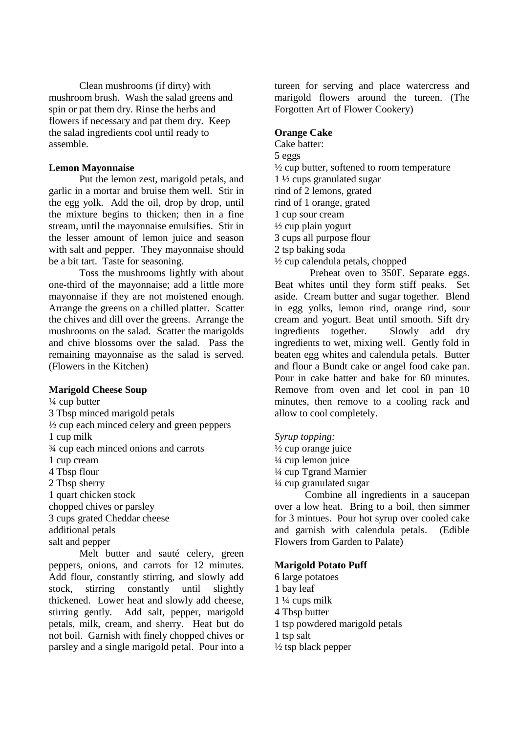Clean mushrooms (if dirty) with mushroom brush. Wash the salad greens and spin or pat them dry. Rinse the herbs and flowers if necessary and pat them dry. Keep the salad ingredients cool until ready to assemble.

## **Lemon Mayonnaise**

Put the lemon zest, marigold petals, and garlic in a mortar and bruise them well. Stir in the egg yolk. Add the oil, drop by drop, until the mixture begins to thicken; then in a fine stream, until the mayonnaise emulsifies. Stir in the lesser amount of lemon juice and season with salt and pepper. They mayonnaise should be a bit tart. Taste for seasoning.

Toss the mushrooms lightly with about one-third of the mayonnaise; add a little more mayonnaise if they are not moistened enough. Arrange the greens on a chilled platter. Scatter the chives and dill over the greens. Arrange the mushrooms on the salad. Scatter the marigolds and chive blossoms over the salad. Pass the remaining mayonnaise as the salad is served. (Flowers in the Kitchen)

# **Marigold Cheese Soup**

¼ cup butter 3 Tbsp minced marigold petals  $\frac{1}{2}$  cup each minced celery and green peppers 1 cup milk ¾ cup each minced onions and carrots 1 cup cream 4 Tbsp flour 2 Tbsp sherry 1 quart chicken stock chopped chives or parsley 3 cups grated Cheddar cheese additional petals salt and pepper

Melt butter and sauté celery, green peppers, onions, and carrots for 12 minutes. Add flour, constantly stirring, and slowly add stock, stirring constantly until slightly thickened. Lower heat and slowly add cheese, stirring gently. Add salt, pepper, marigold petals, milk, cream, and sherry. Heat but do not boil. Garnish with finely chopped chives or parsley and a single marigold petal. Pour into a

tureen for serving and place watercress and marigold flowers around the tureen. (The Forgotten Art of Flower Cookery)

# **Orange Cake**

Cake batter: 5 eggs  $\frac{1}{2}$  cup butter, softened to room temperature 1 ½ cups granulated sugar rind of 2 lemons, grated rind of 1 orange, grated 1 cup sour cream  $\frac{1}{2}$  cup plain yogurt 3 cups all purpose flour 2 tsp baking soda ½ cup calendula petals, chopped

Preheat oven to 350F. Separate eggs. Beat whites until they form stiff peaks. Set aside. Cream butter and sugar together. Blend in egg yolks, lemon rind, orange rind, sour cream and yogurt. Beat until smooth. Sift dry ingredients together. Slowly add dry ingredients to wet, mixing well. Gently fold in beaten egg whites and calendula petals. Butter and flour a Bundt cake or angel food cake pan. Pour in cake batter and bake for 60 minutes. Remove from oven and let cool in pan 10 minutes, then remove to a cooling rack and allow to cool completely.

# *Syrup topping:*

½ cup orange juice ¼ cup lemon juice ¼ cup Tgrand Marnier ¼ cup granulated sugar

Combine all ingredients in a saucepan over a low heat. Bring to a boil, then simmer for 3 mintues. Pour hot syrup over cooled cake and garnish with calendula petals. (Edible Flowers from Garden to Palate)

# **Marigold Potato Puff**

6 large potatoes 1 bay leaf 1 ¼ cups milk 4 Tbsp butter 1 tsp powdered marigold petals 1 tsp salt ½ tsp black pepper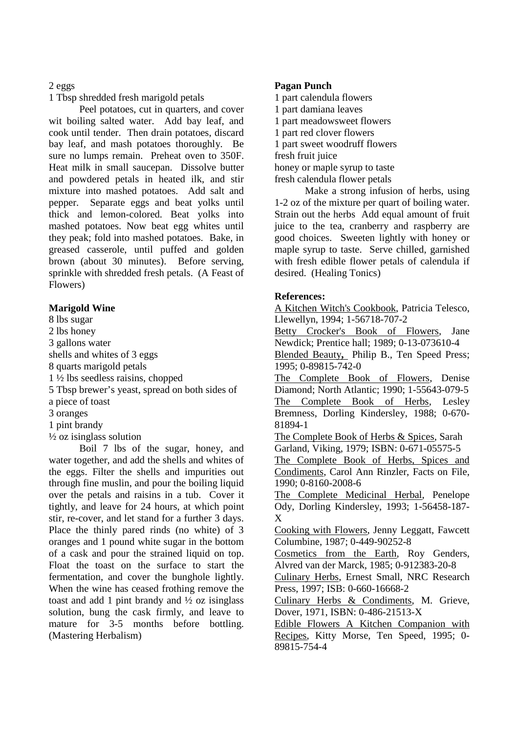## 2 eggs

1 Tbsp shredded fresh marigold petals

Peel potatoes, cut in quarters, and cover wit boiling salted water. Add bay leaf, and cook until tender. Then drain potatoes, discard bay leaf, and mash potatoes thoroughly. Be sure no lumps remain. Preheat oven to 350F. Heat milk in small saucepan. Dissolve butter and powdered petals in heated ilk, and stir mixture into mashed potatoes. Add salt and pepper. Separate eggs and beat yolks until thick and lemon-colored. Beat yolks into mashed potatoes. Now beat egg whites until they peak; fold into mashed potatoes. Bake, in greased casserole, until puffed and golden brown (about 30 minutes). Before serving, sprinkle with shredded fresh petals. (A Feast of Flowers)

# **Marigold Wine**

8 lbs sugar

2 lbs honey

3 gallons water

shells and whites of 3 eggs

8 quarts marigold petals

1 ½ lbs seedless raisins, chopped

5 Tbsp brewer's yeast, spread on both sides of

a piece of toast

3 oranges

1 pint brandy

 $\frac{1}{2}$  oz isinglass solution

Boil 7 lbs of the sugar, honey, and water together, and add the shells and whites of the eggs. Filter the shells and impurities out through fine muslin, and pour the boiling liquid over the petals and raisins in a tub. Cover it tightly, and leave for 24 hours, at which point stir, re-cover, and let stand for a further 3 days. Place the thinly pared rinds (no white) of 3 oranges and 1 pound white sugar in the bottom of a cask and pour the strained liquid on top. Float the toast on the surface to start the fermentation, and cover the bunghole lightly. When the wine has ceased frothing remove the toast and add 1 pint brandy and ½ oz isinglass solution, bung the cask firmly, and leave to mature for 3-5 months before bottling. (Mastering Herbalism)

# **Pagan Punch**

1 part calendula flowers 1 part damiana leaves 1 part meadowsweet flowers 1 part red clover flowers 1 part sweet woodruff flowers fresh fruit juice honey or maple syrup to taste fresh calendula flower petals

Make a strong infusion of herbs, using 1-2 oz of the mixture per quart of boiling water. Strain out the herbs Add equal amount of fruit juice to the tea, cranberry and raspberry are good choices. Sweeten lightly with honey or maple syrup to taste. Serve chilled, garnished with fresh edible flower petals of calendula if desired. (Healing Tonics)

# **References:**

A Kitchen Witch's Cookbook, Patricia Telesco, Llewellyn, 1994; 1-56718-707-2

Betty Crocker's Book of Flowers, Jane Newdick; Prentice hall; 1989; 0-13-073610-4

Blended Beauty**,** Philip B., Ten Speed Press; 1995; 0-89815-742-0

The Complete Book of Flowers, Denise Diamond; North Atlantic; 1990; 1-55643-079-5 The Complete Book of Herbs, Lesley Bremness, Dorling Kindersley, 1988; 0-670- 81894-1

The Complete Book of Herbs & Spices, Sarah Garland, Viking, 1979; ISBN: 0-671-05575-5

The Complete Book of Herbs, Spices and Condiments, Carol Ann Rinzler, Facts on File, 1990; 0-8160-2008-6

The Complete Medicinal Herbal, Penelope Ody, Dorling Kindersley, 1993; 1-56458-187- X

Cooking with Flowers, Jenny Leggatt, Fawcett Columbine, 1987; 0-449-90252-8

Cosmetics from the Earth, Roy Genders, Alvred van der Marck, 1985; 0-912383-20-8

Culinary Herbs, Ernest Small, NRC Research Press, 1997; ISB: 0-660-16668-2

Culinary Herbs & Condiments, M. Grieve, Dover, 1971, ISBN: 0-486-21513-X

Edible Flowers A Kitchen Companion with Recipes, Kitty Morse, Ten Speed, 1995; 0- 89815-754-4